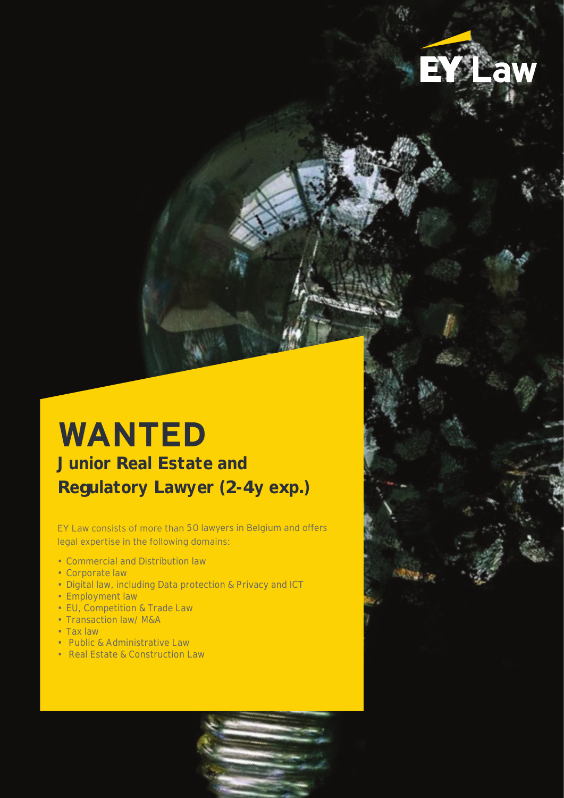# **WANTED**

**Junior Real Estate and Regulatory Lawyer (2-4y exp.)**

EY Law consists of more than 50 lawyers in Belgium and offers legal expertise in the following domains:

- Commercial and Distribution law
- Corporate law
- Digital law, including Data protection & Privacy and ICT
- Employment law
- EU, Competition & Trade Law
- Transaction law/ M&A
- Tax law
- Public & Administrative Law
- Real Estate & Construction Law

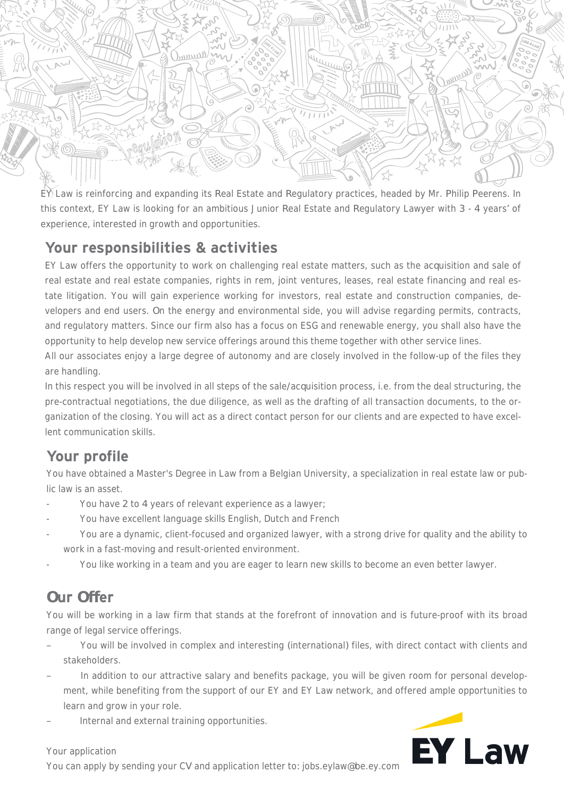

EY Law is reinforcing and expanding its Real Estate and Regulatory practices, headed by Mr. Philip Peerens. In this context, EY Law is looking for an ambitious Junior Real Estate and Regulatory Lawyer with 3 - 4 years' of experience, interested in growth and opportunities.

#### **Your responsibilities & activities**

EY Law offers the opportunity to work on challenging real estate matters, such as the acquisition and sale of real estate and real estate companies, rights in rem, joint ventures, leases, real estate financing and real estate litigation. You will gain experience working for investors, real estate and construction companies, developers and end users. On the energy and environmental side, you will advise regarding permits, contracts, and regulatory matters. Since our firm also has a focus on ESG and renewable energy, you shall also have the opportunity to help develop new service offerings around this theme together with other service lines.

All our associates enjoy a large degree of autonomy and are closely involved in the follow-up of the files they are handling.

In this respect you will be involved in all steps of the sale/acquisition process, i.e. from the deal structuring, the pre-contractual negotiations, the due diligence, as well as the drafting of all transaction documents, to the organization of the closing. You will act as a direct contact person for our clients and are expected to have excellent communication skills.

### **Your profile**

You have obtained a Master's Degree in Law from a Belgian University, a specialization in real estate law or public law is an asset.

- You have 2 to 4 years of relevant experience as a lawyer;
- You have excellent language skills English, Dutch and French
- You are a dynamic, client-focused and organized lawyer, with a strong drive for quality and the ability to work in a fast-moving and result-oriented environment.
- You like working in a team and you are eager to learn new skills to become an even better lawyer.

## **Our Offer**

You will be working in a law firm that stands at the forefront of innovation and is future-proof with its broad range of legal service offerings.

- You will be involved in complex and interesting (international) files, with direct contact with clients and stakeholders.
- In addition to our attractive salary and benefits package, you will be given room for personal development, while benefiting from the support of our EY and EY Law network, and offered ample opportunities to learn and grow in your role.
- Internal and external training opportunities.



#### Your application

You can apply by sending your CV and application letter to: jobs.eylaw@be.ey.com